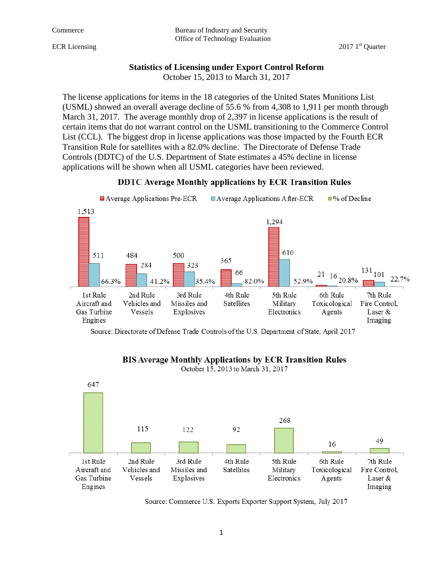Commerce Bureau of Industry and Security Office of Technology Evaluation

### **Statistics of Licensing under Export Control Reform**

October 15, 2013 to March 31, 2017

The license applications for items in the 18 categories of the United States Munitions List (USML) showed an overall average decline of 55.6 % from 4,308 to 1,911 per month through March 31, 2017. The average monthly drop of 2,397 in license applications is the result of certain items that do not warrant control on the USML transitioning to the Commerce Control List (CCL). The biggest drop in license applications was those impacted by the Fourth ECR Transition Rule for satellites with a 82.0% decline. The Directorate of Defense Trade Controls (DDTC) of the U.S. Department of State estimates a 45% decline in license applications will be shown when all USML categories have been reviewed.





Source: Directorate of Defense Trade Controls of the U.S. Department of State, April 2017



## **BIS Average Monthly Applications by ECR Transition Rules**

October 15, 2013 to March 31, 2017

Source: Commerce U.S. Exports Exporter Support System, July 2017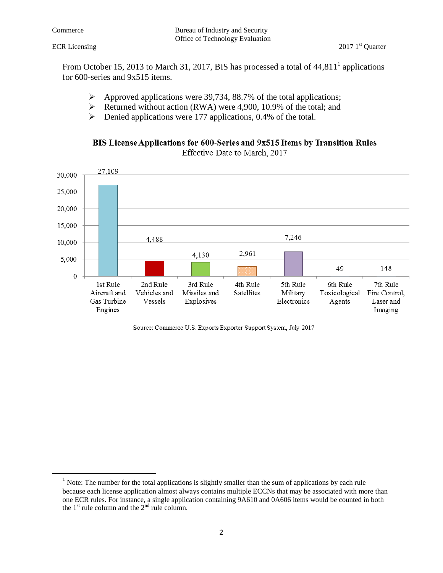$\overline{\phantom{a}}$ 

From October 15, 2013 to March 31, 2017, BIS has processed a total of  $44,811<sup>1</sup>$  applications for 600-series and 9x515 items.

- $\triangleright$  Approved applications were 39,734, 88.7% of the total applications;
- $\triangleright$  Returned without action (RWA) were 4,900, 10.9% of the total; and
- $\triangleright$  Denied applications were 177 applications, 0.4% of the total.





Source: Commerce U.S. Exports Exporter Support System, July 2017

<sup>&</sup>lt;sup>1</sup> Note: The number for the total applications is slightly smaller than the sum of applications by each rule because each license application almost always contains multiple ECCNs that may be associated with more than one ECR rules. For instance, a single application containing 9A610 and 0A606 items would be counted in both the  $1<sup>st</sup>$  rule column and the  $2<sup>nd</sup>$  rule column.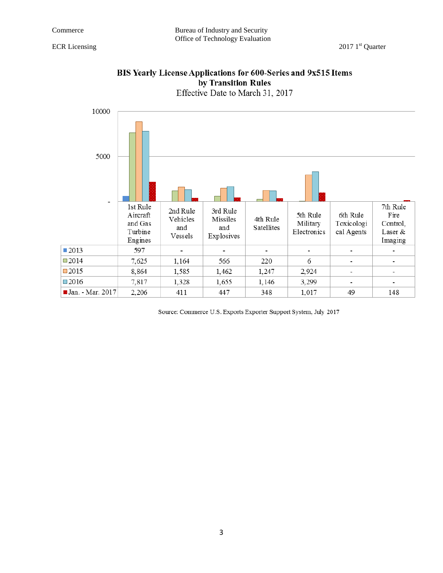

# BIS Yearly License Applications for 600-Series and 9x515 Items by Transition Rules

Source: Commerce U.S. Exports Exporter Support System, July 2017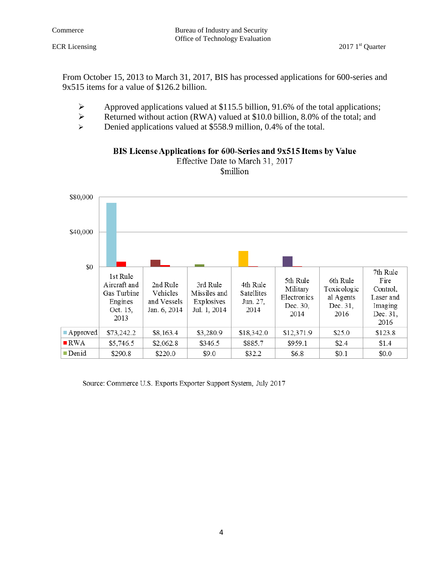From October 15, 2013 to March 31, 2017, BIS has processed applications for 600-series and 9x515 items for a value of \$126.2 billion.

- $\triangleright$  Approved applications valued at \$115.5 billion, 91.6% of the total applications;
- Executive Returned without action (RWA) valued at \$10.0 billion, 8.0% of the total; and
- Denied applications valued at \$558.9 million, 0.4% of the total.



BIS License Applications for 600-Series and 9x515 Items by Value

Effective Date to March 31, 2017 **Smillion** 

Source: Commerce U.S. Exports Exporter Support System, July 2017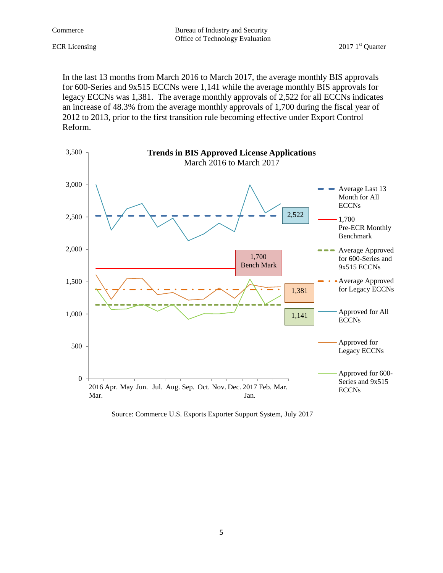Commerce Bureau of Industry and Security Office of Technology Evaluation

In the last 13 months from March 2016 to March 2017, the average monthly BIS approvals for 600-Series and 9x515 ECCNs were 1,141 while the average monthly BIS approvals for legacy ECCNs was 1,381. The average monthly approvals of 2,522 for all ECCNs indicates an increase of 48.3% from the average monthly approvals of 1,700 during the fiscal year of 2012 to 2013, prior to the first transition rule becoming effective under Export Control Reform.



Source: Commerce U.S. Exports Exporter Support System, July 2017